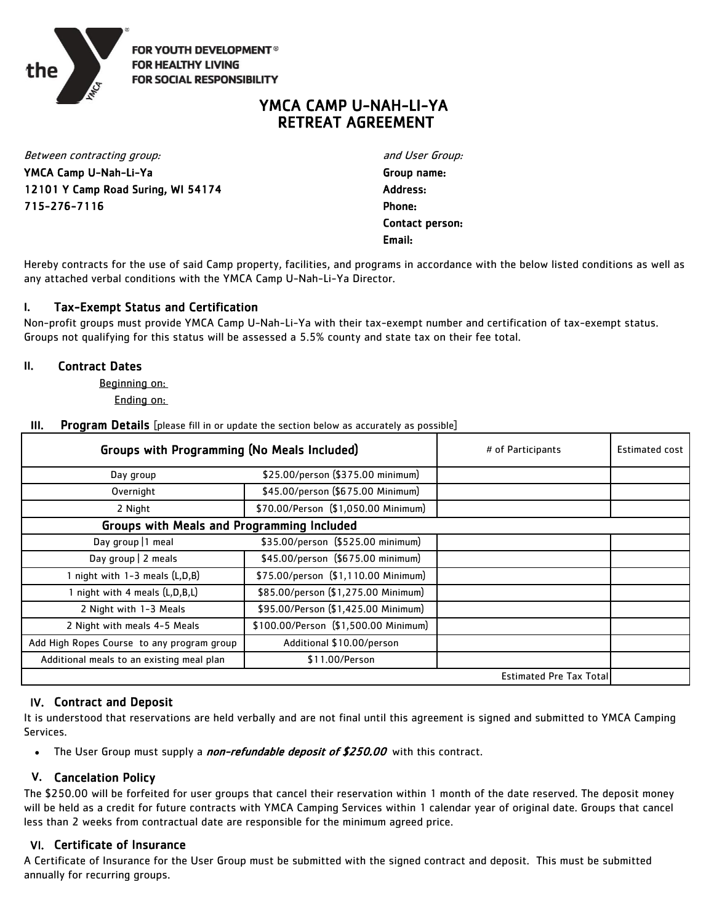

**FOR YOUTH DEVELOPMENT<sup>®</sup> FOR HEALTHY LIVING FOR SOCIAL RESPONSIBILITY** 

# YMCA CAMP U-NAH-LI-YA RETREAT AGREEMENT

12101 Y Camp Road Suring, WI 54174 Address: 715-276-7116 Phone: Between contracting group: and User Group: and User Group: YMCA Camp U-Nah-Li-Ya Group name:

Email: Contact person:

Hereby contracts for the use of said Camp property, facilities, and programs in accordance with the below listed conditions as well as any attached verbal conditions with the YMCA Camp U-Nah-Li-Ya Director.

# I. Tax-Exempt Status and Certification

Non-profit groups must provide YMCA Camp U-Nah-Li-Ya with their tax-exempt number and certification of tax-exempt status. Groups not qualifying for this status will be assessed a 5.5% county and state tax on their fee total.

# II. Contract Dates

Beginning on:

Ending on:

**III.** Program Details [please fill in or update the section below as accurately as possible]

| Groups with Programming (No Meals Included)       |                                      | # of Participants | Estimated cost |
|---------------------------------------------------|--------------------------------------|-------------------|----------------|
| Day group                                         | \$25.00/person (\$375.00 minimum)    |                   |                |
| Overnight                                         | \$45.00/person (\$675.00 Minimum)    |                   |                |
| 2 Night                                           | \$70.00/Person (\$1,050.00 Minimum)  |                   |                |
| <b>Groups with Meals and Programming Included</b> |                                      |                   |                |
| Day group   1 meal                                | \$35.00/person (\$525.00 minimum)    |                   |                |
| Day group   2 meals                               | \$45.00/person (\$675.00 minimum)    |                   |                |
| I night with 1-3 meals (L,D,B)                    | \$75.00/person (\$1,110.00 Minimum)  |                   |                |
| night with 4 meals (L,D,B,L)                      | \$85.00/person (\$1,275.00 Minimum)  |                   |                |
| 2 Night with 1-3 Meals                            | \$95.00/Person (\$1,425.00 Minimum)  |                   |                |
| 2 Night with meals 4-5 Meals                      | \$100.00/Person (\$1,500.00 Minimum) |                   |                |
| Add High Ropes Course to any program group        | Additional \$10.00/person            |                   |                |
| Additional meals to an existing meal plan         | \$11.00/Person                       |                   |                |
| Estimated Pre Tax Total                           |                                      |                   |                |

# IV. Contract and Deposit

It is understood that reservations are held verbally and are not final until this agreement is signed and submitted to YMCA Camping Services.

• The User Group must supply a *non-refundable deposit of \$250.00* with this contract.

# V. Cancelation Policy

The \$250.00 will be forfeited for user groups that cancel their reservation within 1 month of the date reserved. The deposit money will be held as a credit for future contracts with YMCA Camping Services within 1 calendar year of original date. Groups that cancel less than 2 weeks from contractual date are responsible for the minimum agreed price.

# VI. Certificate of Insurance

A Certificate of Insurance for the User Group must be submitted with the signed contract and deposit. This must be submitted annually for recurring groups.